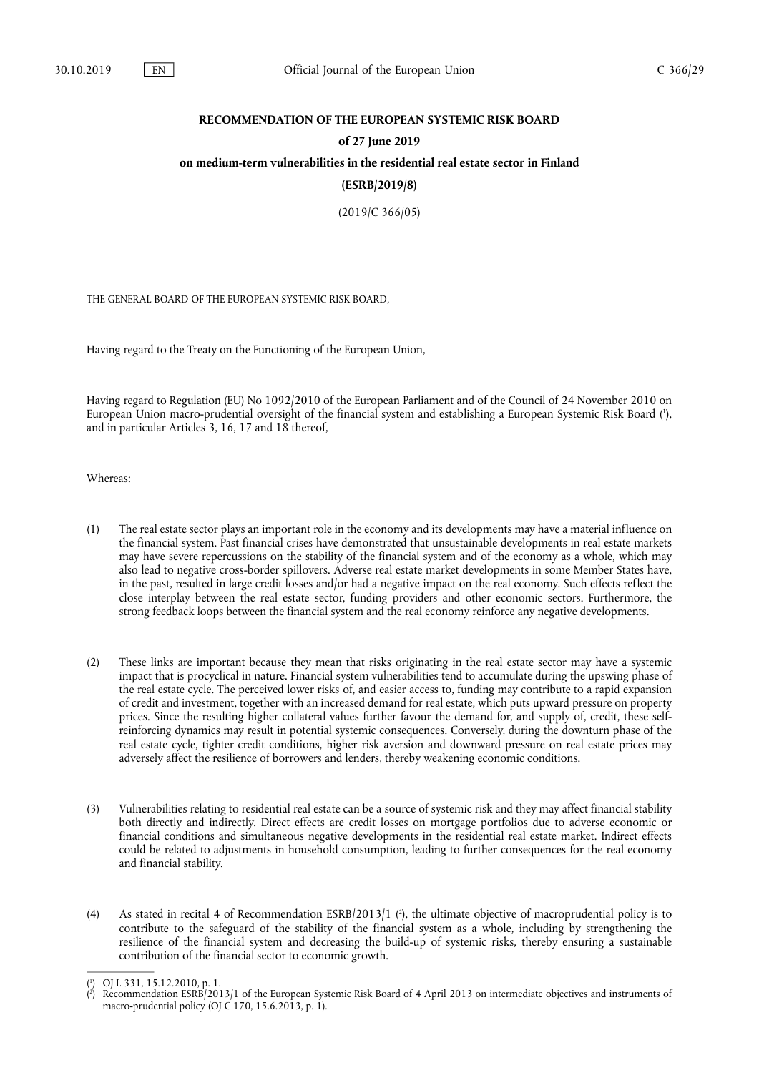# **RECOMMENDATION OF THE EUROPEAN SYSTEMIC RISK BOARD**

#### **of 27 June 2019**

# **on medium-term vulnerabilities in the residential real estate sector in Finland**

## **(ESRB/2019/8)**

(2019/C 366/05)

THE GENERAL BOARD OF THE EUROPEAN SYSTEMIC RISK BOARD,

Having regard to the Treaty on the Functioning of the European Union,

Having regard to Regulation (EU) No 1092/2010 of the European Parliament and of the Council of 24 November 2010 on European Union macro-prudential oversight of the financial system and establishing a European Systemic Risk Board ( 1 ), and in particular Articles 3, 16, 17 and 18 thereof,

Whereas:

- (1) The real estate sector plays an important role in the economy and its developments may have a material influence on the financial system. Past financial crises have demonstrated that unsustainable developments in real estate markets may have severe repercussions on the stability of the financial system and of the economy as a whole, which may also lead to negative cross-border spillovers. Adverse real estate market developments in some Member States have, in the past, resulted in large credit losses and/or had a negative impact on the real economy. Such effects reflect the close interplay between the real estate sector, funding providers and other economic sectors. Furthermore, the strong feedback loops between the financial system and the real economy reinforce any negative developments.
- (2) These links are important because they mean that risks originating in the real estate sector may have a systemic impact that is procyclical in nature. Financial system vulnerabilities tend to accumulate during the upswing phase of the real estate cycle. The perceived lower risks of, and easier access to, funding may contribute to a rapid expansion of credit and investment, together with an increased demand for real estate, which puts upward pressure on property prices. Since the resulting higher collateral values further favour the demand for, and supply of, credit, these selfreinforcing dynamics may result in potential systemic consequences. Conversely, during the downturn phase of the real estate cycle, tighter credit conditions, higher risk aversion and downward pressure on real estate prices may adversely affect the resilience of borrowers and lenders, thereby weakening economic conditions.
- (3) Vulnerabilities relating to residential real estate can be a source of systemic risk and they may affect financial stability both directly and indirectly. Direct effects are credit losses on mortgage portfolios due to adverse economic or financial conditions and simultaneous negative developments in the residential real estate market. Indirect effects could be related to adjustments in household consumption, leading to further consequences for the real economy and financial stability.
- (4) As stated in recital 4 of Recommendation  $ESB/2013/1$  (?), the ultimate objective of macroprudential policy is to contribute to the safeguard of the stability of the financial system as a whole, including by strengthening the resilience of the financial system and decreasing the build-up of systemic risks, thereby ensuring a sustainable contribution of the financial sector to economic growth.

<sup>(</sup> 1 ) OJ L 331, 15.12.2010, p. 1.

<sup>(</sup> 2 ) Recommendation ESRB/2013/1 of the European Systemic Risk Board of 4 April 2013 on intermediate objectives and instruments of macro-prudential policy (OJ C 170, 15.6.2013, p. 1).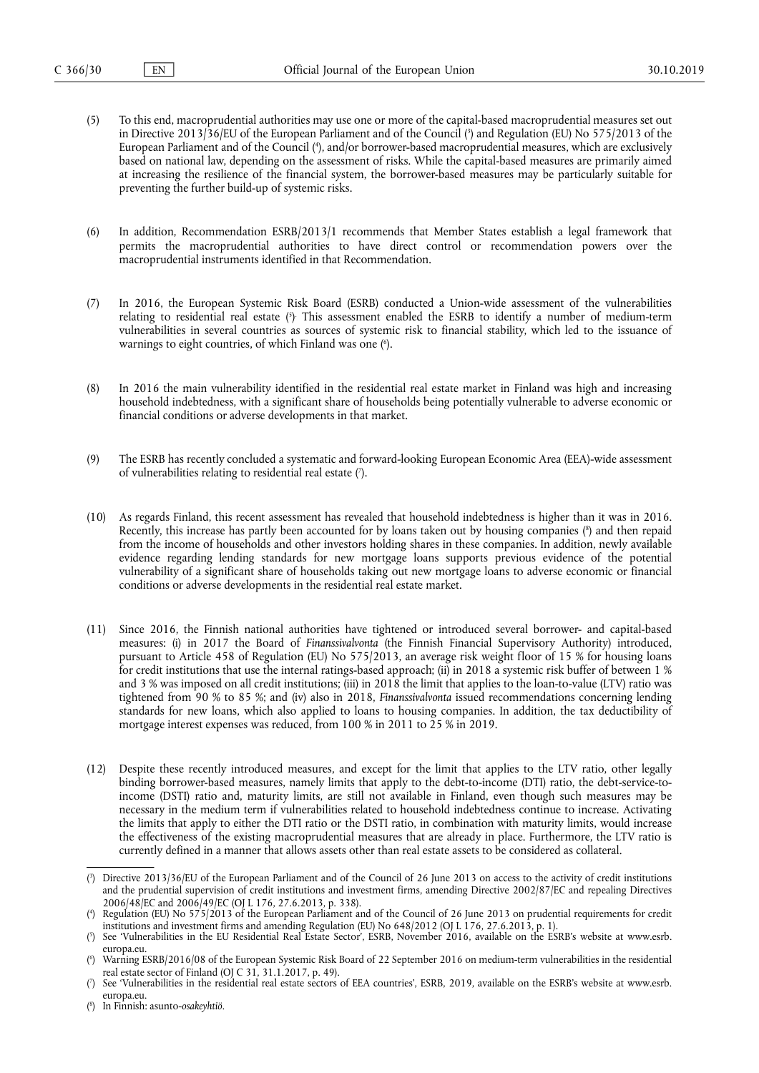- (5) To this end, macroprudential authorities may use one or more of the capital-based macroprudential measures set out in Directive 2013/36/EU of the European Parliament and of the Council ( 3 ) and Regulation (EU) No 575/2013 of the European Parliament and of the Council ( 4 ), and/or borrower-based macroprudential measures, which are exclusively based on national law, depending on the assessment of risks. While the capital-based measures are primarily aimed at increasing the resilience of the financial system, the borrower-based measures may be particularly suitable for preventing the further build-up of systemic risks.
- (6) In addition, Recommendation ESRB/2013/1 recommends that Member States establish a legal framework that permits the macroprudential authorities to have direct control or recommendation powers over the macroprudential instruments identified in that Recommendation.
- (7) In 2016, the European Systemic Risk Board (ESRB) conducted a Union-wide assessment of the vulnerabilities relating to residential real estate ( 5 ) . This assessment enabled the ESRB to identify a number of medium-term vulnerabilities in several countries as sources of systemic risk to financial stability, which led to the issuance of warnings to eight countries, of which Finland was one ( 6 ).
- (8) In 2016 the main vulnerability identified in the residential real estate market in Finland was high and increasing household indebtedness, with a significant share of households being potentially vulnerable to adverse economic or financial conditions or adverse developments in that market.
- (9) The ESRB has recently concluded a systematic and forward-looking European Economic Area (EEA)-wide assessment of vulnerabilities relating to residential real estate ( 7 ).
- (10) As regards Finland, this recent assessment has revealed that household indebtedness is higher than it was in 2016. Recently, this increase has partly been accounted for by loans taken out by housing companies ( 8 ) and then repaid from the income of households and other investors holding shares in these companies. In addition, newly available evidence regarding lending standards for new mortgage loans supports previous evidence of the potential vulnerability of a significant share of households taking out new mortgage loans to adverse economic or financial conditions or adverse developments in the residential real estate market.
- (11) Since 2016, the Finnish national authorities have tightened or introduced several borrower- and capital-based measures: (i) in 2017 the Board of *Finanssivalvonta* (the Finnish Financial Supervisory Authority) introduced, pursuant to Article 458 of Regulation (EU) No 575/2013, an average risk weight floor of 15 % for housing loans for credit institutions that use the internal ratings-based approach; (ii) in 2018 a systemic risk buffer of between 1 % and 3 % was imposed on all credit institutions; (iii) in 2018 the limit that applies to the loan-to-value (LTV) ratio was tightened from 90 % to 85 %; and (iv) also in 2018, *Finanssivalvonta* issued recommendations concerning lending standards for new loans, which also applied to loans to housing companies. In addition, the tax deductibility of mortgage interest expenses was reduced, from 100 % in 2011 to 25 % in 2019.
- (12) Despite these recently introduced measures, and except for the limit that applies to the LTV ratio, other legally binding borrower-based measures, namely limits that apply to the debt-to-income (DTI) ratio, the debt-service-toincome (DSTI) ratio and, maturity limits, are still not available in Finland, even though such measures may be necessary in the medium term if vulnerabilities related to household indebtedness continue to increase. Activating the limits that apply to either the DTI ratio or the DSTI ratio, in combination with maturity limits, would increase the effectiveness of the existing macroprudential measures that are already in place. Furthermore, the LTV ratio is currently defined in a manner that allows assets other than real estate assets to be considered as collateral.

<sup>(</sup> 3 ) Directive 2013/36/EU of the European Parliament and of the Council of 26 June 2013 on access to the activity of credit institutions and the prudential supervision of credit institutions and investment firms, amending Directive 2002/87/EC and repealing Directives 2006/48/EC and 2006/49/EC (OJ L 176, 27.6.2013, p. 338).

<sup>(</sup> 4 ) Regulation (EU) No 575/2013 of the European Parliament and of the Council of 26 June 2013 on prudential requirements for credit institutions and investment firms and amending Regulation (EU) No 648/2012 (OJ L 176, 27.6.2013, p. 1).

<sup>(</sup> 5 ) See 'Vulnerabilities in the EU Residential Real Estate Sector', ESRB, November 2016, available on the ESRB's website at www.esrb. europa.eu

<sup>(</sup> 6 ) Warning ESRB/2016/08 of the European Systemic Risk Board of 22 September 2016 on medium-term vulnerabilities in the residential real estate sector of Finland (OJ C 31, 31.1.2017, p. 49).

<sup>(</sup> 7 ) See 'Vulnerabilities in the residential real estate sectors of EEA countries', ESRB, 2019, available on the ESRB's website at www.esrb. europa.eu.

<sup>(</sup> 8 ) In Finnish: asunto*-osakeyhtiö*.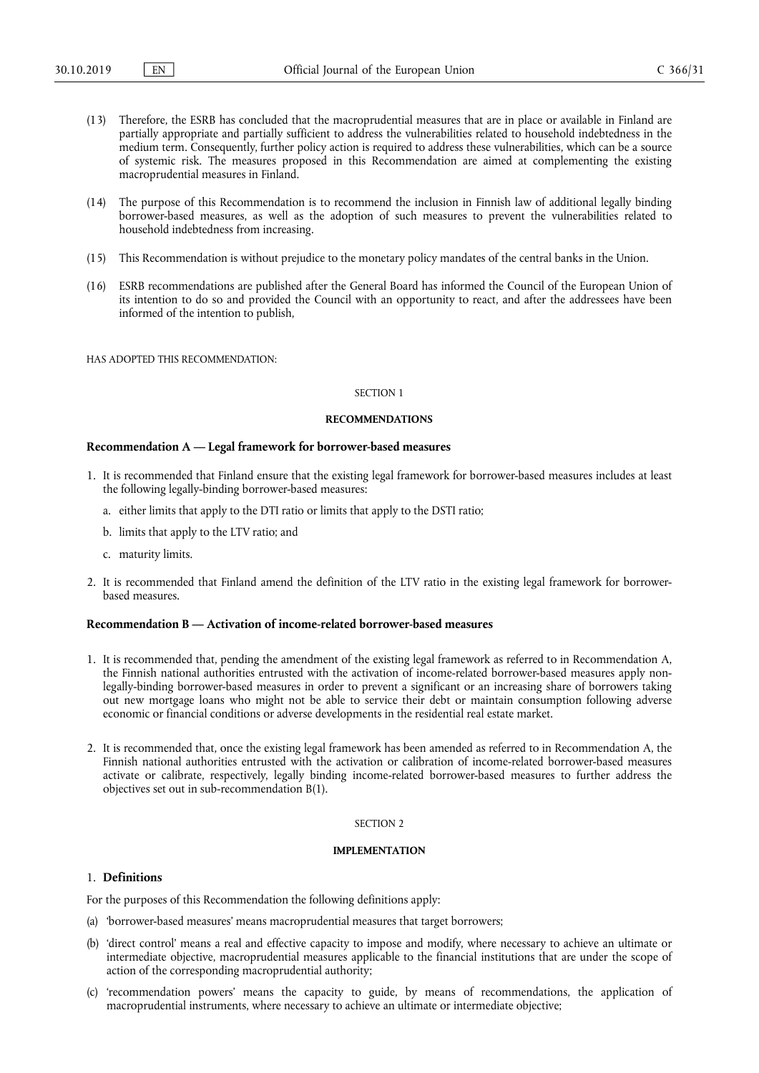- (13) Therefore, the ESRB has concluded that the macroprudential measures that are in place or available in Finland are partially appropriate and partially sufficient to address the vulnerabilities related to household indebtedness in the medium term. Consequently, further policy action is required to address these vulnerabilities, which can be a source of systemic risk. The measures proposed in this Recommendation are aimed at complementing the existing macroprudential measures in Finland.
- (14) The purpose of this Recommendation is to recommend the inclusion in Finnish law of additional legally binding borrower-based measures, as well as the adoption of such measures to prevent the vulnerabilities related to household indebtedness from increasing.
- (15) This Recommendation is without prejudice to the monetary policy mandates of the central banks in the Union.
- (16) ESRB recommendations are published after the General Board has informed the Council of the European Union of its intention to do so and provided the Council with an opportunity to react, and after the addressees have been informed of the intention to publish,

HAS ADOPTED THIS RECOMMENDATION:

#### SECTION 1

#### **RECOMMENDATIONS**

#### **Recommendation A — Legal framework for borrower-based measures**

- 1. It is recommended that Finland ensure that the existing legal framework for borrower-based measures includes at least the following legally-binding borrower-based measures:
	- a. either limits that apply to the DTI ratio or limits that apply to the DSTI ratio;
	- b. limits that apply to the LTV ratio; and
	- c. maturity limits.
- 2. It is recommended that Finland amend the definition of the LTV ratio in the existing legal framework for borrowerbased measures.

## **Recommendation B — Activation of income-related borrower-based measures**

- 1. It is recommended that, pending the amendment of the existing legal framework as referred to in Recommendation A, the Finnish national authorities entrusted with the activation of income-related borrower-based measures apply nonlegally-binding borrower-based measures in order to prevent a significant or an increasing share of borrowers taking out new mortgage loans who might not be able to service their debt or maintain consumption following adverse economic or financial conditions or adverse developments in the residential real estate market.
- 2. It is recommended that, once the existing legal framework has been amended as referred to in Recommendation A, the Finnish national authorities entrusted with the activation or calibration of income-related borrower-based measures activate or calibrate, respectively, legally binding income-related borrower-based measures to further address the objectives set out in sub-recommendation B(1).

#### SECTION 2

#### **IMPLEMENTATION**

### 1. **Definitions**

For the purposes of this Recommendation the following definitions apply:

- (a) 'borrower-based measures' means macroprudential measures that target borrowers;
- (b) 'direct control' means a real and effective capacity to impose and modify, where necessary to achieve an ultimate or intermediate objective, macroprudential measures applicable to the financial institutions that are under the scope of action of the corresponding macroprudential authority;
- (c) 'recommendation powers' means the capacity to guide, by means of recommendations, the application of macroprudential instruments, where necessary to achieve an ultimate or intermediate objective;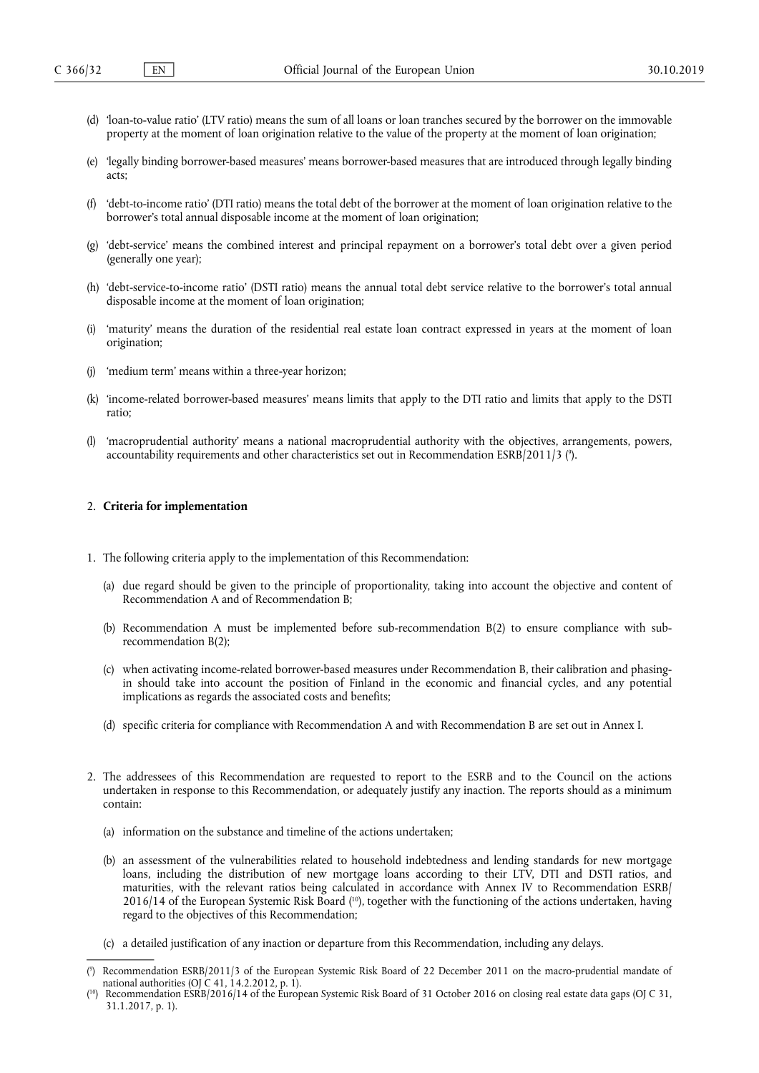- (d) 'loan-to-value ratio' (LTV ratio) means the sum of all loans or loan tranches secured by the borrower on the immovable property at the moment of loan origination relative to the value of the property at the moment of loan origination;
- (e) 'legally binding borrower-based measures' means borrower-based measures that are introduced through legally binding acts;
- (f) 'debt-to-income ratio' (DTI ratio) means the total debt of the borrower at the moment of loan origination relative to the borrower's total annual disposable income at the moment of loan origination;
- (g) 'debt-service' means the combined interest and principal repayment on a borrower's total debt over a given period (generally one year);
- (h) 'debt-service-to-income ratio' (DSTI ratio) means the annual total debt service relative to the borrower's total annual disposable income at the moment of loan origination;
- (i) 'maturity' means the duration of the residential real estate loan contract expressed in years at the moment of loan origination;
- (j) 'medium term' means within a three-year horizon;
- (k) 'income-related borrower-based measures' means limits that apply to the DTI ratio and limits that apply to the DSTI ratio;
- (l) 'macroprudential authority' means a national macroprudential authority with the objectives, arrangements, powers, accountability requirements and other characteristics set out in Recommendation ESRB/2011/3 (°).

#### 2. **Criteria for implementation**

- 1. The following criteria apply to the implementation of this Recommendation:
	- (a) due regard should be given to the principle of proportionality, taking into account the objective and content of Recommendation A and of Recommendation B;
	- (b) Recommendation A must be implemented before sub-recommendation B(2) to ensure compliance with subrecommendation B(2);
	- (c) when activating income-related borrower-based measures under Recommendation B, their calibration and phasingin should take into account the position of Finland in the economic and financial cycles, and any potential implications as regards the associated costs and benefits;
	- (d) specific criteria for compliance with Recommendation A and with Recommendation B are set out in Annex I.
- 2. The addressees of this Recommendation are requested to report to the ESRB and to the Council on the actions undertaken in response to this Recommendation, or adequately justify any inaction. The reports should as a minimum contain:
	- (a) information on the substance and timeline of the actions undertaken;
	- (b) an assessment of the vulnerabilities related to household indebtedness and lending standards for new mortgage loans, including the distribution of new mortgage loans according to their LTV, DTI and DSTI ratios, and maturities, with the relevant ratios being calculated in accordance with Annex IV to Recommendation ESRB/ 2016/14 of the European Systemic Risk Board ( 10), together with the functioning of the actions undertaken, having regard to the objectives of this Recommendation;
	- (c) a detailed justification of any inaction or departure from this Recommendation, including any delays.

<sup>(</sup> 9 ) Recommendation ESRB/2011/3 of the European Systemic Risk Board of 22 December 2011 on the macro-prudential mandate of national authorities (OJ C 41, 14.2.2012, p. 1).

<sup>(</sup> Recommendation ESRB/2016/14 of the European Systemic Risk Board of 31 October 2016 on closing real estate data gaps (OJ C 31, 31.1.2017, p. 1).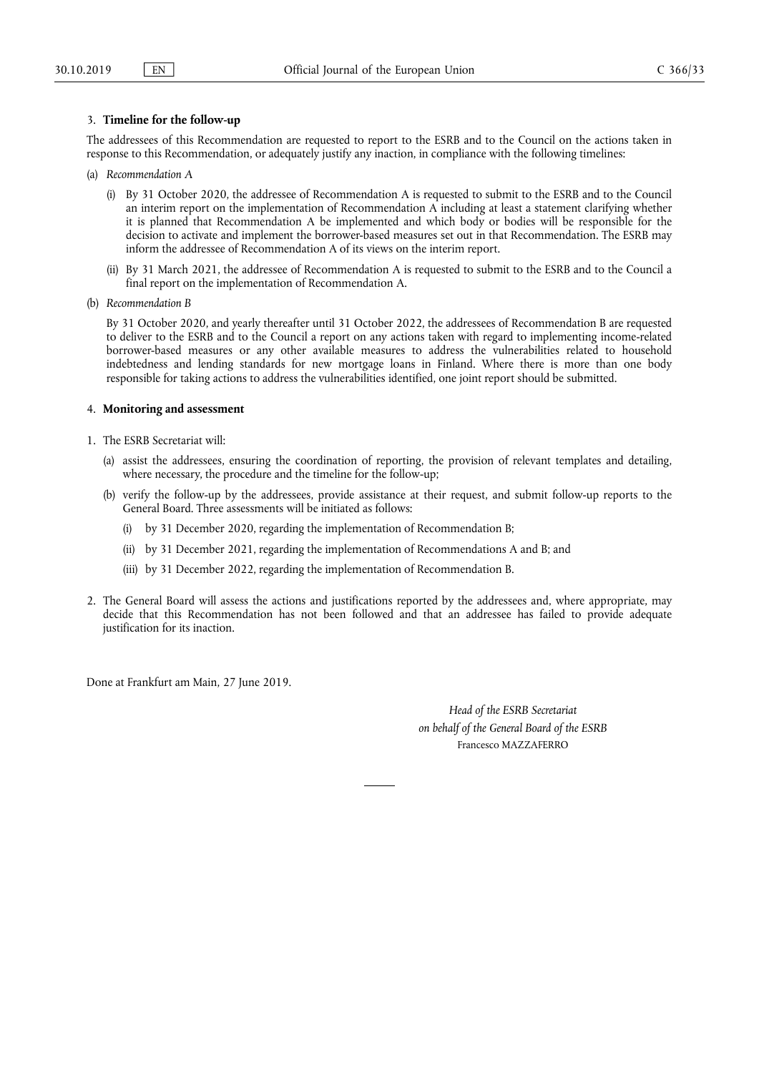## 3. **Timeline for the follow-up**

The addressees of this Recommendation are requested to report to the ESRB and to the Council on the actions taken in response to this Recommendation, or adequately justify any inaction, in compliance with the following timelines:

- (a) *Recommendation A* 
	- (i) By 31 October 2020, the addressee of Recommendation A is requested to submit to the ESRB and to the Council an interim report on the implementation of Recommendation  $\overrightarrow{A}$  including at least a statement clarifying whether it is planned that Recommendation A be implemented and which body or bodies will be responsible for the decision to activate and implement the borrower-based measures set out in that Recommendation. The ESRB may inform the addressee of Recommendation A of its views on the interim report.
	- (ii) By 31 March 2021, the addressee of Recommendation A is requested to submit to the ESRB and to the Council a final report on the implementation of Recommendation A.
- (b) *Recommendation B*

By 31 October 2020, and yearly thereafter until 31 October 2022, the addressees of Recommendation B are requested to deliver to the ESRB and to the Council a report on any actions taken with regard to implementing income-related borrower-based measures or any other available measures to address the vulnerabilities related to household indebtedness and lending standards for new mortgage loans in Finland. Where there is more than one body responsible for taking actions to address the vulnerabilities identified, one joint report should be submitted.

## 4. **Monitoring and assessment**

- 1. The ESRB Secretariat will:
	- (a) assist the addressees, ensuring the coordination of reporting, the provision of relevant templates and detailing, where necessary, the procedure and the timeline for the follow-up;
	- (b) verify the follow-up by the addressees, provide assistance at their request, and submit follow-up reports to the General Board. Three assessments will be initiated as follows:
		- (i) by 31 December 2020, regarding the implementation of Recommendation B;
		- (ii) by 31 December 2021, regarding the implementation of Recommendations A and B; and
		- (iii) by 31 December 2022, regarding the implementation of Recommendation B.
- 2. The General Board will assess the actions and justifications reported by the addressees and, where appropriate, may decide that this Recommendation has not been followed and that an addressee has failed to provide adequate justification for its inaction.

Done at Frankfurt am Main, 27 June 2019.

*Head of the ESRB Secretariat on behalf of the General Board of the ESRB*  Francesco MAZZAFERRO